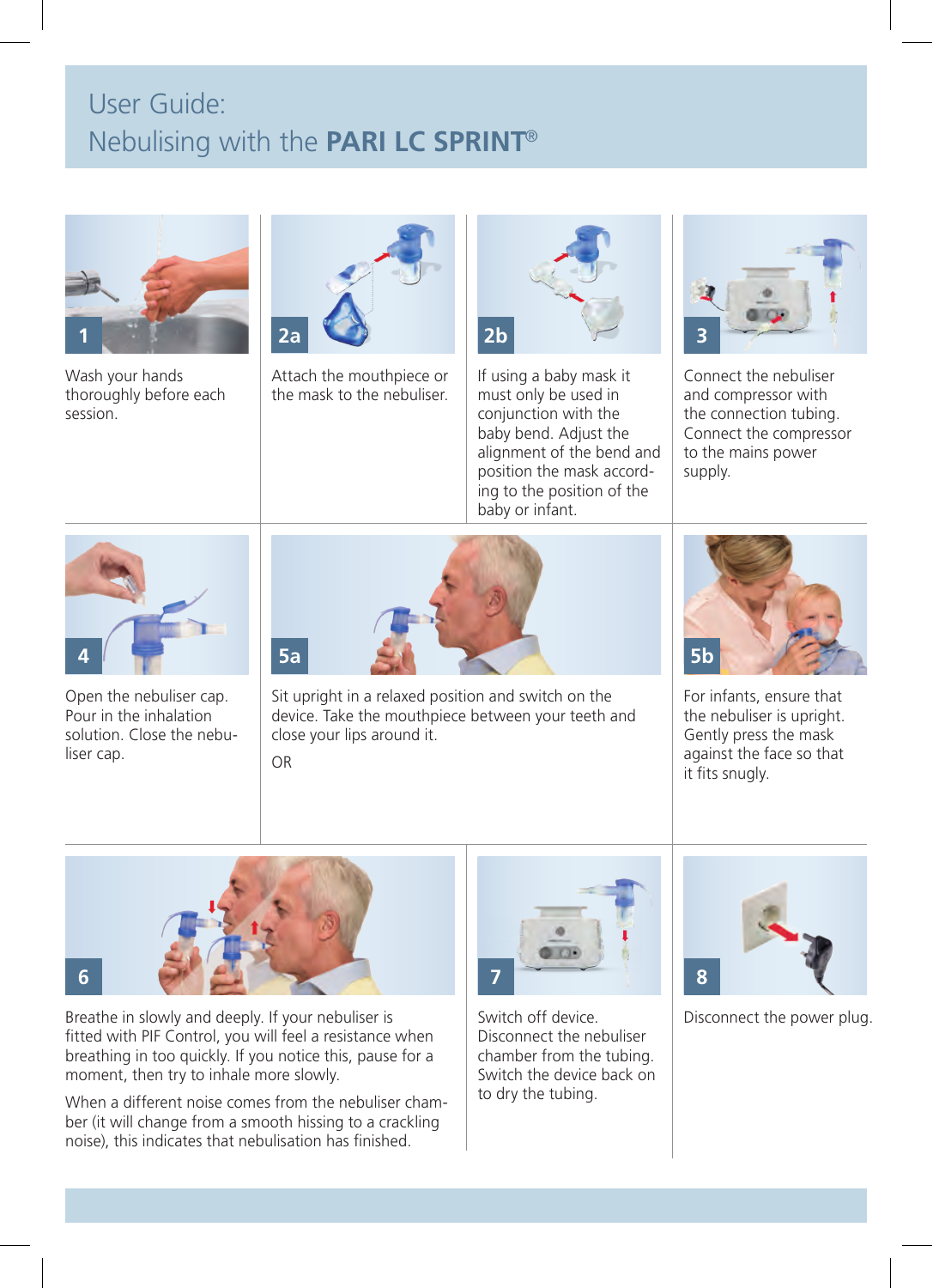## User Guide: Nebulising with the **PARI LC SPRINT**®



Wash your hands thoroughly before each session.



Attach the mouthpiece or the mask to the nebuliser.



If using a baby mask it must only be used in conjunction with the baby bend. Adjust the alignment of the bend and position the mask according to the position of the baby or infant.



Connect the nebuliser and compressor with the connection tubing. Connect the compressor to the mains power supply



Open the nebuliser cap. Pour in the inhalation solution. Close the nebuliser cap.



Sit upright in a relaxed position and switch on the device. Take the mouthpiece between your teeth and close your lips around it.

OR



For infants, ensure that the nebuliser is upright. Gently press the mask against the face so that it fits snugly.



Breathe in slowly and deeply. If your nebuliser is fitted with PIF Control, you will feel a resistance when breathing in too quickly. If you notice this, pause for a moment, then try to inhale more slowly.

When a different noise comes from the nebuliser chamber (it will change from a smooth hissing to a crackling noise), this indicates that nebulisation has finished.



Disconnect the nebuliser chamber from the tubing. Switch the device back on to dry the tubing.



Switch off device. Disconnect the power plug.